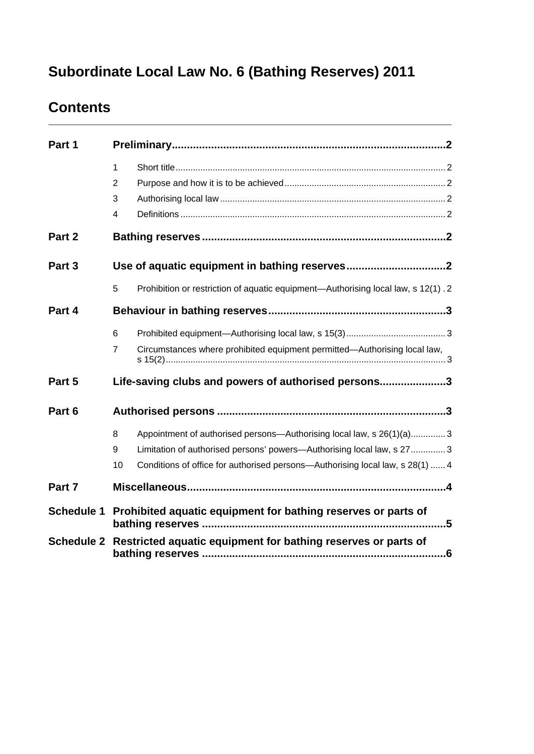# **Subordinate Local Law No. 6 (Bathing Reserves) 2011**

# **Contents**

| Part 1            |                                                                                                                                                                                                                                                |  |  |
|-------------------|------------------------------------------------------------------------------------------------------------------------------------------------------------------------------------------------------------------------------------------------|--|--|
|                   | $\mathbf{1}$<br>$\overline{2}$                                                                                                                                                                                                                 |  |  |
|                   | 3<br>4                                                                                                                                                                                                                                         |  |  |
| Part 2            |                                                                                                                                                                                                                                                |  |  |
| Part 3            |                                                                                                                                                                                                                                                |  |  |
|                   | 5<br>Prohibition or restriction of aquatic equipment—Authorising local law, s 12(1). 2                                                                                                                                                         |  |  |
| Part 4            |                                                                                                                                                                                                                                                |  |  |
|                   | 6                                                                                                                                                                                                                                              |  |  |
|                   | Circumstances where prohibited equipment permitted-Authorising local law,<br>7                                                                                                                                                                 |  |  |
| Part 5            | Life-saving clubs and powers of authorised persons3                                                                                                                                                                                            |  |  |
| Part 6            |                                                                                                                                                                                                                                                |  |  |
|                   | 8<br>Appointment of authorised persons-Authorising local law, s 26(1)(a)3<br>Limitation of authorised persons' powers-Authorising local law, s 273<br>9<br>Conditions of office for authorised persons—Authorising local law, s 28(1)  4<br>10 |  |  |
| Part 7            |                                                                                                                                                                                                                                                |  |  |
| <b>Schedule 1</b> | Prohibited aquatic equipment for bathing reserves or parts of<br>.5                                                                                                                                                                            |  |  |
| <b>Schedule 2</b> | Restricted aquatic equipment for bathing reserves or parts of                                                                                                                                                                                  |  |  |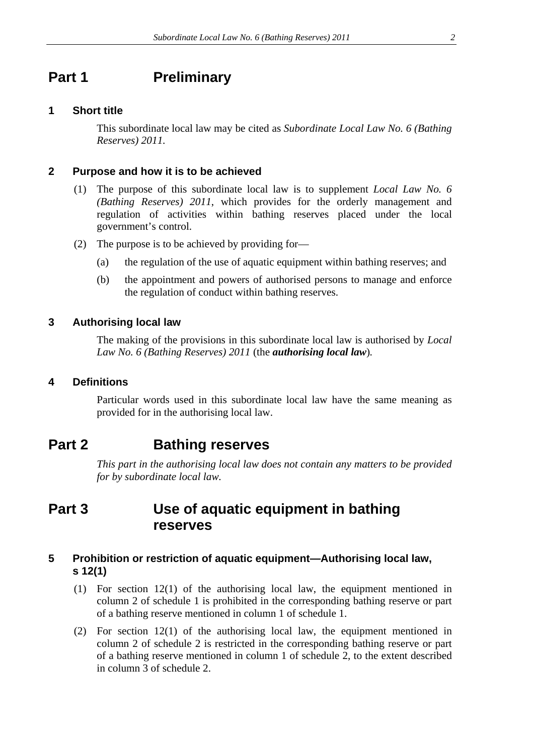### <span id="page-1-0"></span>**Part 1** Preliminary

#### <span id="page-1-1"></span>**1 Short title**

This subordinate local law may be cited as *Subordinate Local Law No. 6 (Bathing Reserves) 2011.*

#### <span id="page-1-2"></span>**2 Purpose and how it is to be achieved**

- (1) The purpose of this subordinate local law is to supplement *Local Law No. 6 (Bathing Reserves) 2011*, which provides for the orderly management and regulation of activities within bathing reserves placed under the local government's control.
- (2) The purpose is to be achieved by providing for—
	- (a) the regulation of the use of aquatic equipment within bathing reserves; and
	- (b) the appointment and powers of authorised persons to manage and enforce the regulation of conduct within bathing reserves.

#### <span id="page-1-3"></span>**3 Authorising local law**

The making of the provisions in this subordinate local law is authorised by *Local Law No. 6 (Bathing Reserves) 2011* (the *authorising local law*)*.* 

#### <span id="page-1-4"></span>**4 Definitions**

Particular words used in this subordinate local law have the same meaning as provided for in the authorising local law.

### <span id="page-1-5"></span>**Part 2 Bathing reserves**

*This part in the authorising local law does not contain any matters to be provided for by subordinate local law.* 

### <span id="page-1-6"></span>**Part 3 Use of aquatic equipment in bathing reserves**

#### <span id="page-1-7"></span>**5 Prohibition or restriction of aquatic equipment—Authorising local law, s 12(1)**

- (1) For section 12(1) of the authorising local law, the equipment mentioned in column 2 of schedule 1 is prohibited in the corresponding bathing reserve or part of a bathing reserve mentioned in column 1 of schedule 1.
- (2) For section 12(1) of the authorising local law, the equipment mentioned in column 2 of schedule 2 is restricted in the corresponding bathing reserve or part of a bathing reserve mentioned in column 1 of schedule 2, to the extent described in column 3 of schedule 2.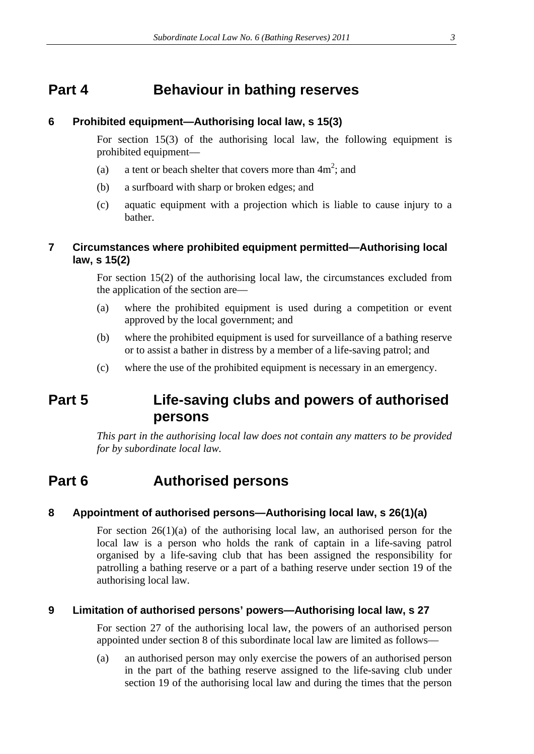### <span id="page-2-0"></span>**Part 4 Behaviour in bathing reserves**

#### <span id="page-2-1"></span>**6 Prohibited equipment—Authorising local law, s 15(3)**

For section 15(3) of the authorising local law, the following equipment is prohibited equipment—

- (a) a tent or beach shelter that covers more than  $4m^2$ ; and
- (b) a surfboard with sharp or broken edges; and
- (c) aquatic equipment with a projection which is liable to cause injury to a bather.

#### <span id="page-2-2"></span>**7 Circumstances where prohibited equipment permitted—Authorising local law, s 15(2)**

For section 15(2) of the authorising local law, the circumstances excluded from the application of the section are—

- (a) where the prohibited equipment is used during a competition or event approved by the local government; and
- (b) where the prohibited equipment is used for surveillance of a bathing reserve or to assist a bather in distress by a member of a life-saving patrol; and
- (c) where the use of the prohibited equipment is necessary in an emergency.

### <span id="page-2-3"></span>**Part 5 Life-saving clubs and powers of authorised persons**

*This part in the authorising local law does not contain any matters to be provided for by subordinate local law.* 

## <span id="page-2-4"></span>**Part 6 Authorised persons**

#### <span id="page-2-5"></span>**8 Appointment of authorised persons—Authorising local law, s 26(1)(a)**

For section  $26(1)(a)$  of the authorising local law, an authorised person for the local law is a person who holds the rank of captain in a life-saving patrol organised by a life-saving club that has been assigned the responsibility for patrolling a bathing reserve or a part of a bathing reserve under section 19 of the authorising local law.

#### <span id="page-2-6"></span>**9 Limitation of authorised persons' powers—Authorising local law, s 27**

For section 27 of the authorising local law, the powers of an authorised person appointed under section 8 of this subordinate local law are limited as follows—

(a) an authorised person may only exercise the powers of an authorised person in the part of the bathing reserve assigned to the life-saving club under section 19 of the authorising local law and during the times that the person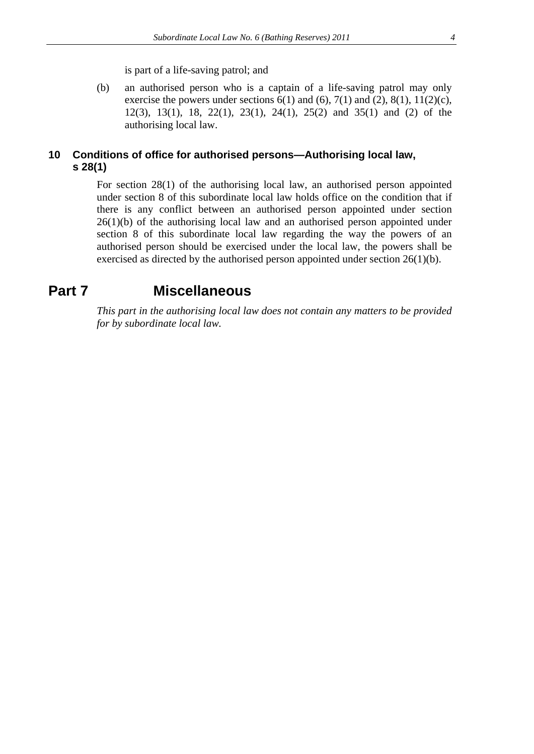is part of a life-saving patrol; and

(b) an authorised person who is a captain of a life-saving patrol may only exercise the powers under sections  $6(1)$  and  $(6)$ ,  $7(1)$  and  $(2)$ ,  $8(1)$ ,  $11(2)(c)$ , 12(3), 13(1), 18, 22(1), 23(1), 24(1), 25(2) and 35(1) and (2) of the authorising local law.

#### <span id="page-3-0"></span>**10 Conditions of office for authorised persons—Authorising local law, s 28(1)**

For section 28(1) of the authorising local law, an authorised person appointed under section 8 of this subordinate local law holds office on the condition that if there is any conflict between an authorised person appointed under section  $26(1)(b)$  of the authorising local law and an authorised person appointed under section 8 of this subordinate local law regarding the way the powers of an authorised person should be exercised under the local law, the powers shall be exercised as directed by the authorised person appointed under section 26(1)(b).

### <span id="page-3-1"></span>**Part 7 Miscellaneous**

*This part in the authorising local law does not contain any matters to be provided for by subordinate local law.*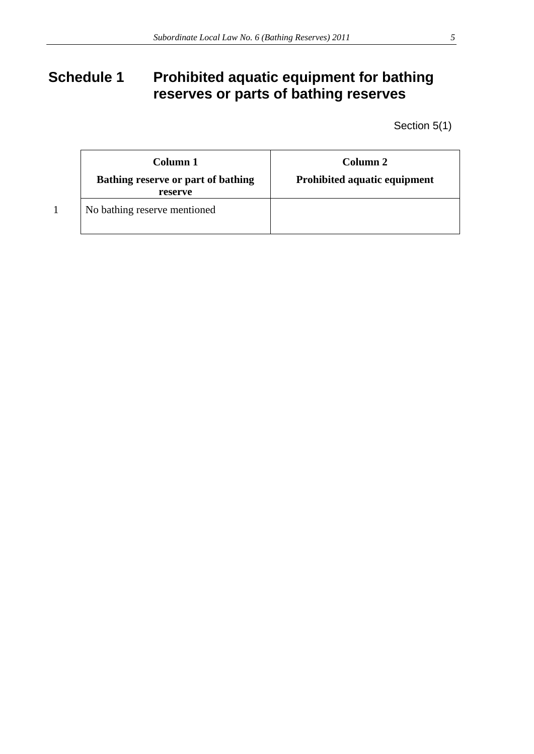# <span id="page-4-0"></span>Schedule 1 Prohibited aquatic equipment for bathing **reserves or parts of bathing reserves**

Section 5(1)

| Column 1<br>Bathing reserve or part of bathing | Column 2<br>Prohibited aquatic equipment |
|------------------------------------------------|------------------------------------------|
| reserve                                        |                                          |
| No bathing reserve mentioned                   |                                          |